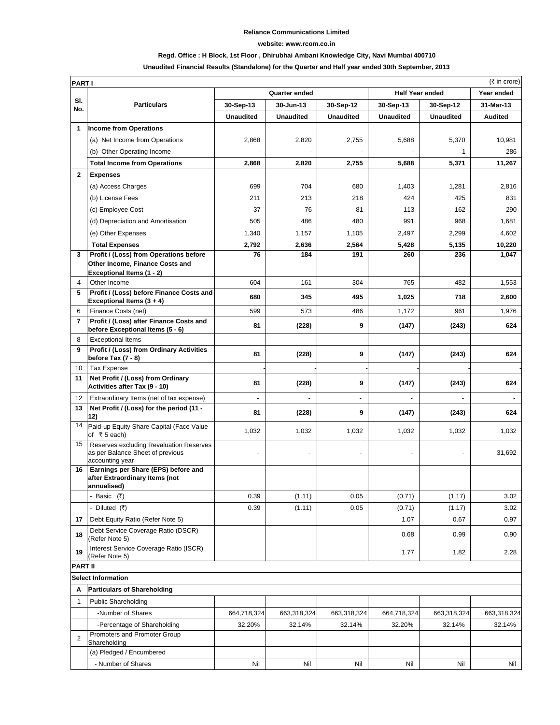### **Reliance Communications Limited**

#### **website: www.rcom.co.in**

### **Regd. Office : H Block, 1st Floor , Dhirubhai Ambani Knowledge City, Navi Mumbai 400710**

## **Unaudited Financial Results (Standalone) for the Quarter and Half year ended 30th September, 2013**

|                | (₹ in crore)<br><b>PARTI</b>                                                                          |                  |                  |                  |                        |                  |                |
|----------------|-------------------------------------------------------------------------------------------------------|------------------|------------------|------------------|------------------------|------------------|----------------|
|                |                                                                                                       | Quarter ended    |                  |                  | <b>Half Year ended</b> |                  | Year ended     |
| SI.<br>No.     | <b>Particulars</b>                                                                                    | 30-Sep-13        | 30-Jun-13        | 30-Sep-12        | 30-Sep-13              | 30-Sep-12        | 31-Mar-13      |
|                |                                                                                                       | <b>Unaudited</b> | <b>Unaudited</b> | <b>Unaudited</b> | <b>Unaudited</b>       | <b>Unaudited</b> | <b>Audited</b> |
| 1              | <b>Income from Operations</b>                                                                         |                  |                  |                  |                        |                  |                |
|                | (a) Net Income from Operations                                                                        | 2,868            | 2,820            | 2,755            | 5,688                  | 5,370            | 10,981         |
|                | (b) Other Operating Income                                                                            |                  |                  |                  |                        | 1                | 286            |
|                | <b>Total Income from Operations</b>                                                                   | 2,868            | 2,820            | 2,755            | 5,688                  | 5,371            | 11,267         |
| $\mathbf{2}$   | <b>Expenses</b>                                                                                       |                  |                  |                  |                        |                  |                |
|                | (a) Access Charges                                                                                    | 699              | 704              | 680              | 1,403                  | 1,281            | 2,816          |
|                | (b) License Fees                                                                                      | 211              | 213              | 218              | 424                    | 425              | 831            |
|                | (c) Employee Cost                                                                                     | 37               | 76               | 81               | 113                    | 162              | 290            |
|                | (d) Depreciation and Amortisation                                                                     | 505              | 486              | 480              | 991                    | 968              | 1,681          |
|                | (e) Other Expenses                                                                                    | 1,340            | 1,157            | 1,105            | 2,497                  | 2,299            | 4,602          |
|                | <b>Total Expenses</b>                                                                                 | 2,792            | 2,636            | 2,564            | 5,428                  | 5,135            | 10,220         |
| 3              | Profit / (Loss) from Operations before                                                                | 76               | 184              | 191              | 260                    | 236              | 1,047          |
|                | Other Income, Finance Costs and                                                                       |                  |                  |                  |                        |                  |                |
|                | Exceptional Items (1 - 2)                                                                             |                  |                  |                  |                        |                  |                |
| 4<br>5         | Other Income<br>Profit / (Loss) before Finance Costs and                                              | 604              | 161              | 304              | 765                    | 482              | 1,553          |
|                | Exceptional Items (3 + 4)                                                                             | 680              | 345              | 495              | 1,025                  | 718              | 2,600          |
| 6              | Finance Costs (net)                                                                                   | 599              | 573              | 486              | 1,172                  | 961              | 1,976          |
| $\overline{7}$ | Profit / (Loss) after Finance Costs and                                                               | 81               | (228)            | 9                | (147)                  | (243)            | 624            |
|                | before Exceptional Items (5 - 6)                                                                      |                  |                  |                  |                        |                  |                |
| 8<br>9         | <b>Exceptional Items</b><br>Profit / (Loss) from Ordinary Activities                                  |                  |                  |                  |                        |                  |                |
|                | before Tax (7 - 8)                                                                                    | 81               | (228)            | 9                | (147)                  | (243)            | 624            |
| 10             | <b>Tax Expense</b>                                                                                    |                  |                  |                  |                        |                  |                |
| 11             | Net Profit / (Loss) from Ordinary<br>Activities after Tax (9 - 10)                                    | 81               | (228)            | 9                | (147)                  | (243)            | 624            |
| 12             | Extraordinary Items (net of tax expense)                                                              |                  |                  |                  |                        |                  |                |
| 13             | Net Profit / (Loss) for the period (11 -<br>12)                                                       | 81               | (228)            | 9                | (147)                  | (243)            | 624            |
| 14             | Paid-up Equity Share Capital (Face Value<br>of ₹5 each)                                               | 1,032            | 1,032            | 1,032            | 1,032                  | 1,032            | 1,032          |
| 15             | <b>Reserves excluding Revaluation Reserves</b><br>as per Balance Sheet of previous<br>accounting year |                  |                  |                  |                        |                  | 31,692         |
| 16             | Earnings per Share (EPS) before and<br>after Extraordinary Items (not<br>annualised)                  |                  |                  |                  |                        |                  |                |
|                | - Basic (₹)                                                                                           | 0.39             | (1.11)           | 0.05             | (0.71)                 | (1.17)           | 3.02           |
|                | - Diluted (₹)                                                                                         | 0.39             | (1.11)           | 0.05             | (0.71)                 | (1.17)           | 3.02           |
| 17             | Debt Equity Ratio (Refer Note 5)                                                                      |                  |                  |                  | 1.07                   | 0.67             | 0.97           |
| 18             | Debt Service Coverage Ratio (DSCR)<br>(Refer Note 5)                                                  |                  |                  |                  | 0.68                   | 0.99             | 0.90           |
| 19             | Interest Service Coverage Ratio (ISCR)<br>(Refer Note 5)                                              |                  |                  |                  | 1.77                   | 1.82             | 2.28           |
| <b>PART II</b> |                                                                                                       |                  |                  |                  |                        |                  |                |
|                | <b>Select Information</b>                                                                             |                  |                  |                  |                        |                  |                |
| A              | <b>Particulars of Shareholding</b>                                                                    |                  |                  |                  |                        |                  |                |
| 1              | <b>Public Shareholding</b>                                                                            |                  |                  |                  |                        |                  |                |
|                | -Number of Shares                                                                                     | 664,718,324      | 663,318,324      | 663,318,324      | 664,718,324            | 663,318,324      | 663,318,324    |
|                | -Percentage of Shareholding                                                                           | 32.20%           | 32.14%           | 32.14%           | 32.20%                 | 32.14%           | 32.14%         |
| $\overline{2}$ | Promoters and Promoter Group<br>Shareholding                                                          |                  |                  |                  |                        |                  |                |
|                | (a) Pledged / Encumbered                                                                              |                  |                  |                  |                        |                  |                |
|                | - Number of Shares                                                                                    | Nil              | Nil              | Nil              | Nil                    | Nil              | Nil            |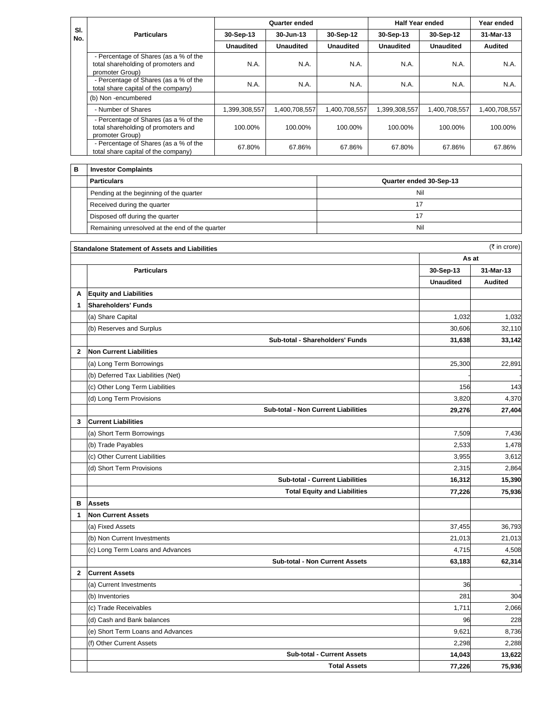| SI.<br>No. | <b>Particulars</b>                                                                              | Quarter ended    |               |                  | <b>Half Year ended</b> |                  | Year ended     |
|------------|-------------------------------------------------------------------------------------------------|------------------|---------------|------------------|------------------------|------------------|----------------|
|            |                                                                                                 | 30-Sep-13        | 30-Jun-13     | 30-Sep-12        | 30-Sep-13              | 30-Sep-12        | 31-Mar-13      |
|            |                                                                                                 | <b>Unaudited</b> | Unaudited     | <b>Unaudited</b> | <b>Unaudited</b>       | <b>Unaudited</b> | <b>Audited</b> |
|            | - Percentage of Shares (as a % of the<br>total shareholding of promoters and<br>promoter Group) | N.A.             | N.A.          | N.A.             | N.A.                   | N.A.             | N.A.           |
|            | - Percentage of Shares (as a % of the<br>total share capital of the company)                    | N.A.             | N.A.          | N.A.             | N.A.                   | N.A.             | N.A.           |
|            | (b) Non-encumbered                                                                              |                  |               |                  |                        |                  |                |
|            | - Number of Shares                                                                              | 1,399,308,557    | 1,400,708,557 | 1,400,708,557    | 1,399,308,557          | 1,400,708,557    | 1,400,708,557  |
|            | - Percentage of Shares (as a % of the<br>total shareholding of promoters and<br>promoter Group) | 100.00%          | 100.00%       | 100.00%          | 100.00%                | 100.00%          | 100.00%        |
|            | - Percentage of Shares (as a % of the<br>total share capital of the company)                    | 67.80%           | 67.86%        | 67.86%           | 67.80%                 | 67.86%           | 67.86%         |
| в          | <b>Investor Complaints</b>                                                                      |                  |               |                  |                        |                  |                |

| <b>Particulars</b>                             | Quarter ended 30-Sep-13 |
|------------------------------------------------|-------------------------|
| Pending at the beginning of the quarter        | Nil                     |
| Received during the quarter                    |                         |
| Disposed off during the quarter                |                         |
| Remaining unresolved at the end of the quarter | Nil                     |

|              | <b>Standalone Statement of Assets and Liabilities</b> |                  | $(3\overline{5})$ in crore) |  |
|--------------|-------------------------------------------------------|------------------|-----------------------------|--|
|              |                                                       | As at            |                             |  |
|              | <b>Particulars</b>                                    | 30-Sep-13        | 31-Mar-13                   |  |
|              |                                                       | <b>Unaudited</b> | <b>Audited</b>              |  |
| A            | <b>Equity and Liabilities</b>                         |                  |                             |  |
| $\mathbf 1$  | <b>Shareholders' Funds</b>                            |                  |                             |  |
|              | (a) Share Capital                                     | 1,032            | 1,032                       |  |
|              | (b) Reserves and Surplus                              | 30,606           | 32,110                      |  |
|              | Sub-total - Shareholders' Funds                       | 31,638           | 33,142                      |  |
| $\mathbf{2}$ | <b>Non Current Liabilities</b>                        |                  |                             |  |
|              | (a) Long Term Borrowings                              | 25,300           | 22,891                      |  |
|              | (b) Deferred Tax Liabilities (Net)                    |                  |                             |  |
|              | (c) Other Long Term Liabilities                       | 156              | 143                         |  |
|              | (d) Long Term Provisions                              | 3,820            | 4,370                       |  |
|              | Sub-total - Non Current Liabilities                   | 29,276           | 27,404                      |  |
| 3            | <b>Current Liabilities</b>                            |                  |                             |  |
|              | (a) Short Term Borrowings                             | 7.509            | 7,436                       |  |
|              | (b) Trade Payables                                    | 2,533            | 1,478                       |  |
|              | (c) Other Current Liabilities                         | 3,955            | 3,612                       |  |
|              | (d) Short Term Provisions                             | 2,315            | 2,864                       |  |
|              | <b>Sub-total - Current Liabilities</b>                | 16,312           | 15,390                      |  |
|              | <b>Total Equity and Liabilities</b>                   | 77,226           | 75,936                      |  |
| в            | <b>Assets</b>                                         |                  |                             |  |
| 1            | <b>Non Current Assets</b>                             |                  |                             |  |
|              | (a) Fixed Assets                                      | 37,455           | 36,793                      |  |
|              | (b) Non Current Investments                           | 21,013           | 21,013                      |  |
|              | (c) Long Term Loans and Advances                      | 4,715            | 4,508                       |  |
|              | <b>Sub-total - Non Current Assets</b>                 | 63,183           | 62,314                      |  |
| $\mathbf{2}$ | <b>Current Assets</b>                                 |                  |                             |  |
|              | (a) Current Investments                               | 36               |                             |  |
|              | (b) Inventories                                       | 281              | 304                         |  |
|              | (c) Trade Receivables                                 | 1,711            | 2,066                       |  |
|              | (d) Cash and Bank balances                            | 96               | 228                         |  |
|              | (e) Short Term Loans and Advances                     | 9,621            | 8,736                       |  |
|              | (f) Other Current Assets                              | 2,298            | 2,288                       |  |
|              | <b>Sub-total - Current Assets</b>                     | 14,043           | 13,622                      |  |
|              | <b>Total Assets</b>                                   | 77,226           | 75,936                      |  |